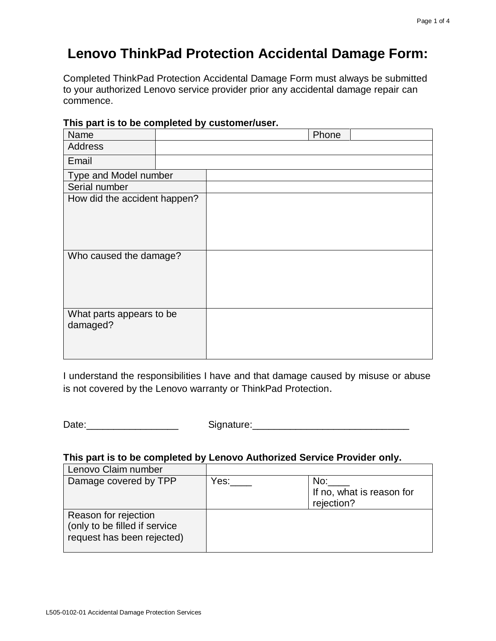# **Lenovo ThinkPad Protection Accidental Damage Form:**

Completed ThinkPad Protection Accidental Damage Form must always be submitted to your authorized Lenovo service provider prior any accidental damage repair can commence.

| . <b>.</b><br>Name                   |  | Phone |  |
|--------------------------------------|--|-------|--|
| Address                              |  |       |  |
| Email                                |  |       |  |
| Type and Model number                |  |       |  |
| Serial number                        |  |       |  |
| How did the accident happen?         |  |       |  |
| Who caused the damage?               |  |       |  |
| What parts appears to be<br>damaged? |  |       |  |

## **This part is to be completed by customer/user.**

I understand the responsibilities I have and that damage caused by misuse or abuse is not covered by the Lenovo warranty or ThinkPad Protection.

Date:\_\_\_\_\_\_\_\_\_\_\_\_\_\_\_\_\_ Signature:\_\_\_\_\_\_\_\_\_\_\_\_\_\_\_\_\_\_\_\_\_\_\_\_\_\_\_\_\_

### **This part is to be completed by Lenovo Authorized Service Provider only.**

| Lenovo Claim number                                                                 |      |                                                |
|-------------------------------------------------------------------------------------|------|------------------------------------------------|
| Damage covered by TPP                                                               | Yes: | No:<br>If no, what is reason for<br>rejection? |
| Reason for rejection<br>(only to be filled if service<br>request has been rejected) |      |                                                |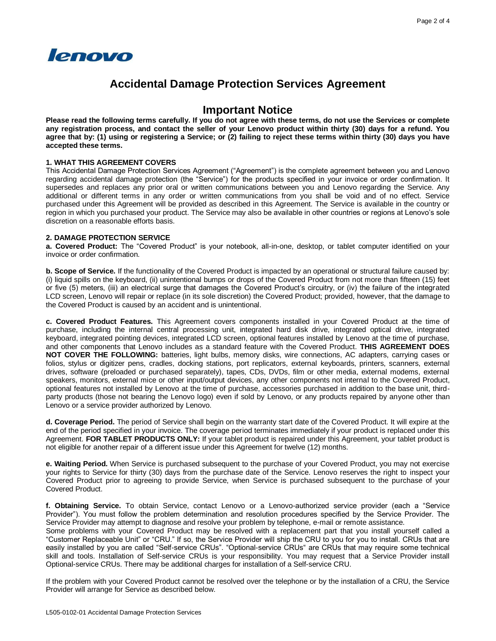

## **Accidental Damage Protection Services Agreement**

## **Important Notice**

**Please read the following terms carefully. If you do not agree with these terms, do not use the Services or complete any registration process, and contact the seller of your Lenovo product within thirty (30) days for a refund. You agree that by: (1) using or registering a Service; or (2) failing to reject these terms within thirty (30) days you have accepted these terms.**

#### **1. WHAT THIS AGREEMENT COVERS**

This Accidental Damage Protection Services Agreement ("Agreement") is the complete agreement between you and Lenovo regarding accidental damage protection (the "Service") for the products specified in your invoice or order confirmation. It supersedes and replaces any prior oral or written communications between you and Lenovo regarding the Service. Any additional or different terms in any order or written communications from you shall be void and of no effect. Service purchased under this Agreement will be provided as described in this Agreement. The Service is available in the country or region in which you purchased your product. The Service may also be available in other countries or regions at Lenovo's sole discretion on a reasonable efforts basis.

#### **2. DAMAGE PROTECTION SERVICE**

**a. Covered Product:** The "Covered Product" is your notebook, all-in-one, desktop, or tablet computer identified on your invoice or order confirmation.

**b. Scope of Service.** If the functionality of the Covered Product is impacted by an operational or structural failure caused by: (i) liquid spills on the keyboard, (ii) unintentional bumps or drops of the Covered Product from not more than fifteen (15) feet or five (5) meters, (iii) an electrical surge that damages the Covered Product's circuitry, or (iv) the failure of the integrated LCD screen, Lenovo will repair or replace (in its sole discretion) the Covered Product; provided, however, that the damage to the Covered Product is caused by an accident and is unintentional.

**c. Covered Product Features.** This Agreement covers components installed in your Covered Product at the time of purchase, including the internal central processing unit, integrated hard disk drive, integrated optical drive, integrated keyboard, integrated pointing devices, integrated LCD screen, optional features installed by Lenovo at the time of purchase, and other components that Lenovo includes as a standard feature with the Covered Product. **THIS AGREEMENT DOES NOT COVER THE FOLLOWING:** batteries, light bulbs, memory disks, wire connections, AC adapters, carrying cases or folios, stylus or digitizer pens, cradles, docking stations, port replicators, external keyboards, printers, scanners, external drives, software (preloaded or purchased separately), tapes, CDs, DVDs, film or other media, external modems, external speakers, monitors, external mice or other input/output devices, any other components not internal to the Covered Product, optional features not installed by Lenovo at the time of purchase, accessories purchased in addition to the base unit, thirdparty products (those not bearing the Lenovo logo) even if sold by Lenovo, or any products repaired by anyone other than Lenovo or a service provider authorized by Lenovo.

**d. Coverage Period.** The period of Service shall begin on the warranty start date of the Covered Product. It will expire at the end of the period specified in your invoice. The coverage period terminates immediately if your product is replaced under this Agreement. **FOR TABLET PRODUCTS ONLY:** If your tablet product is repaired under this Agreement, your tablet product is not eligible for another repair of a different issue under this Agreement for twelve (12) months.

**e. Waiting Period.** When Service is purchased subsequent to the purchase of your Covered Product, you may not exercise your rights to Service for thirty (30) days from the purchase date of the Service. Lenovo reserves the right to inspect your Covered Product prior to agreeing to provide Service, when Service is purchased subsequent to the purchase of your Covered Product.

**f. Obtaining Service.** To obtain Service, contact Lenovo or a Lenovo-authorized service provider (each a "Service Provider"). You must follow the problem determination and resolution procedures specified by the Service Provider. The Service Provider may attempt to diagnose and resolve your problem by telephone, e-mail or remote assistance.

Some problems with your Covered Product may be resolved with a replacement part that you install yourself called a "Customer Replaceable Unit" or "CRU." If so, the Service Provider will ship the CRU to you for you to install. CRUs that are easily installed by you are called "Self-service CRUs". "Optional-service CRUs" are CRUs that may require some technical skill and tools. Installation of Self-service CRUs is your responsibility. You may request that a Service Provider install Optional-service CRUs. There may be additional charges for installation of a Self-service CRU.

If the problem with your Covered Product cannot be resolved over the telephone or by the installation of a CRU, the Service Provider will arrange for Service as described below.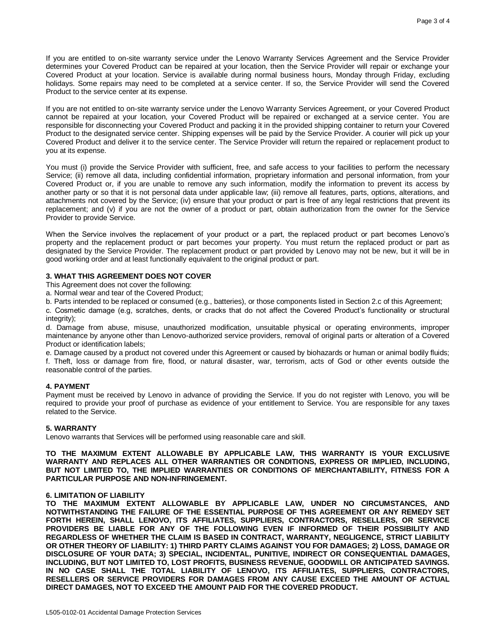If you are entitled to on-site warranty service under the Lenovo Warranty Services Agreement and the Service Provider determines your Covered Product can be repaired at your location, then the Service Provider will repair or exchange your Covered Product at your location. Service is available during normal business hours, Monday through Friday, excluding holidays. Some repairs may need to be completed at a service center. If so, the Service Provider will send the Covered Product to the service center at its expense.

If you are not entitled to on-site warranty service under the Lenovo Warranty Services Agreement, or your Covered Product cannot be repaired at your location, your Covered Product will be repaired or exchanged at a service center. You are responsible for disconnecting your Covered Product and packing it in the provided shipping container to return your Covered Product to the designated service center. Shipping expenses will be paid by the Service Provider. A courier will pick up your Covered Product and deliver it to the service center. The Service Provider will return the repaired or replacement product to you at its expense.

You must (i) provide the Service Provider with sufficient, free, and safe access to your facilities to perform the necessary Service; (ii) remove all data, including confidential information, proprietary information and personal information, from your Covered Product or, if you are unable to remove any such information, modify the information to prevent its access by another party or so that it is not personal data under applicable law; (iii) remove all features, parts, options, alterations, and attachments not covered by the Service; (iv) ensure that your product or part is free of any legal restrictions that prevent its replacement; and (v) if you are not the owner of a product or part, obtain authorization from the owner for the Service Provider to provide Service.

When the Service involves the replacement of your product or a part, the replaced product or part becomes Lenovo's property and the replacement product or part becomes your property. You must return the replaced product or part as designated by the Service Provider. The replacement product or part provided by Lenovo may not be new, but it will be in good working order and at least functionally equivalent to the original product or part.

#### **3. WHAT THIS AGREEMENT DOES NOT COVER**

This Agreement does not cover the following:

- a. Normal wear and tear of the Covered Product;
- b. Parts intended to be replaced or consumed (e.g., batteries), or those components listed in Section 2.c of this Agreement;

c. Cosmetic damage (e.g, scratches, dents, or cracks that do not affect the Covered Product's functionality or structural integrity);

d. Damage from abuse, misuse, unauthorized modification, unsuitable physical or operating environments, improper maintenance by anyone other than Lenovo-authorized service providers, removal of original parts or alteration of a Covered Product or identification labels;

e. Damage caused by a product not covered under this Agreement or caused by biohazards or human or animal bodily fluids; f. Theft, loss or damage from fire, flood, or natural disaster, war, terrorism, acts of God or other events outside the reasonable control of the parties.

#### **4. PAYMENT**

Payment must be received by Lenovo in advance of providing the Service. If you do not register with Lenovo, you will be required to provide your proof of purchase as evidence of your entitlement to Service. You are responsible for any taxes related to the Service.

#### **5. WARRANTY**

Lenovo warrants that Services will be performed using reasonable care and skill.

**TO THE MAXIMUM EXTENT ALLOWABLE BY APPLICABLE LAW, THIS WARRANTY IS YOUR EXCLUSIVE WARRANTY AND REPLACES ALL OTHER WARRANTIES OR CONDITIONS, EXPRESS OR IMPLIED, INCLUDING, BUT NOT LIMITED TO, THE IMPLIED WARRANTIES OR CONDITIONS OF MERCHANTABILITY, FITNESS FOR A PARTICULAR PURPOSE AND NON-INFRINGEMENT.**

#### **6. LIMITATION OF LIABILITY**

**TO THE MAXIMUM EXTENT ALLOWABLE BY APPLICABLE LAW, UNDER NO CIRCUMSTANCES, AND NOTWITHSTANDING THE FAILURE OF THE ESSENTIAL PURPOSE OF THIS AGREEMENT OR ANY REMEDY SET FORTH HEREIN, SHALL LENOVO, ITS AFFILIATES, SUPPLIERS, CONTRACTORS, RESELLERS, OR SERVICE PROVIDERS BE LIABLE FOR ANY OF THE FOLLOWING EVEN IF INFORMED OF THEIR POSSIBILITY AND REGARDLESS OF WHETHER THE CLAIM IS BASED IN CONTRACT, WARRANTY, NEGLIGENCE, STRICT LIABILITY OR OTHER THEORY OF LIABILITY: 1) THIRD PARTY CLAIMS AGAINST YOU FOR DAMAGES; 2) LOSS, DAMAGE OR DISCLOSURE OF YOUR DATA; 3) SPECIAL, INCIDENTAL, PUNITIVE, INDIRECT OR CONSEQUENTIAL DAMAGES, INCLUDING, BUT NOT LIMITED TO, LOST PROFITS, BUSINESS REVENUE, GOODWILL OR ANTICIPATED SAVINGS. IN NO CASE SHALL THE TOTAL LIABILITY OF LENOVO, ITS AFFILIATES, SUPPLIERS, CONTRACTORS, RESELLERS OR SERVICE PROVIDERS FOR DAMAGES FROM ANY CAUSE EXCEED THE AMOUNT OF ACTUAL DIRECT DAMAGES, NOT TO EXCEED THE AMOUNT PAID FOR THE COVERED PRODUCT.**